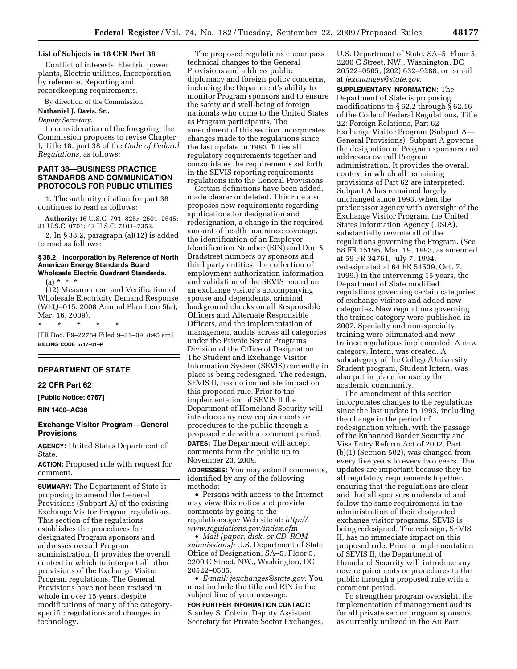## **List of Subjects in 18 CFR Part 38**

Conflict of interests, Electric power plants, Electric utilities, Incorporation by reference, Reporting and recordkeeping requirements.

By direction of the Commission.

## **Nathaniel J. Davis, Sr.,**

*Deputy Secretary.* 

In consideration of the foregoing, the Commission proposes to revise Chapter I, Title 18, part 38 of the *Code of Federal Regulations,* as follows:

## **PART 38—BUSINESS PRACTICE STANDARDS AND COMMUNICATION PROTOCOLS FOR PUBLIC UTILITIES**

1. The authority citation for part 38 continues to read as follows:

**Authority:** 16 U.S.C. 791–825r, 2601–2645; 31 U.S.C. 9701; 42 U.S.C. 7101–7352.

2. In § 38.2, paragraph (a)(12) is added to read as follows:

## **§ 38.2 Incorporation by Reference of North American Energy Standards Board Wholesale Electric Quadrant Standards.**

 $(a) * * * *$ 

(12) Measurement and Verification of Wholesale Electricity Demand Response (WEQ–015, 2008 Annual Plan Item 5(a), Mar. 16, 2009).

\* \* \* \* \* [FR Doc. E9–22784 Filed 9–21–09; 8:45 am] **BILLING CODE 6717–01–P** 

#### **DEPARTMENT OF STATE**

#### **22 CFR Part 62**

**[Public Notice: 6767]** 

### **RIN 1400–AC36**

### **Exchange Visitor Program—General Provisions**

**AGENCY:** United States Department of State.

**ACTION:** Proposed rule with request for comment.

**SUMMARY:** The Department of State is proposing to amend the General Provisions (Subpart A) of the existing Exchange Visitor Program regulations. This section of the regulations establishes the procedures for designated Program sponsors and addresses overall Program administration. It provides the overall context in which to interpret all other provisions of the Exchange Visitor Program regulations. The General Provisions have not been revised in whole in over 15 years, despite modifications of many of the categoryspecific regulations and changes in technology.

The proposed regulations encompass technical changes to the General Provisions and address public diplomacy and foreign policy concerns, including the Department's ability to monitor Program sponsors and to ensure the safety and well-being of foreign nationals who come to the United States as Program participants. The amendment of this section incorporates changes made to the regulations since the last update in 1993. It ties all regulatory requirements together and consolidates the requirements set forth in the SEVIS reporting requirements regulations into the General Provisions.

Certain definitions have been added, made clearer or deleted. This rule also proposes new requirements regarding applications for designation and redesignation, a change in the required amount of health insurance coverage, the identification of an Employer Identification Number (EIN) and Dun & Bradstreet numbers by sponsors and third party entities, the collection of employment authorization information and validation of the SEVIS record on an exchange visitor's accompanying spouse and dependents, criminal background checks on all Responsible Officers and Alternate Responsible Officers, and the implementation of management audits across all categories under the Private Sector Programs Division of the Office of Designation. The Student and Exchange Visitor Information System (SEVIS) currently in place is being redesigned. The redesign, SEVIS II, has no immediate impact on this proposed rule. Prior to the implementation of SEVIS II the Department of Homeland Security will introduce any new requirements or procedures to the public through a proposed rule with a comment period. **DATES:** The Department will accept comments from the public up to November 23, 2009.

**ADDRESSES:** You may submit comments, identified by any of the following methods:

• Persons with access to the Internet may view this notice and provide comments by going to the regulations.gov Web site at: *http:// [www.regulations.gov/index.cfm](http://www.regulations.gov/index.cfm)* 

• *Mail (paper, disk, or CD–ROM submissions):* U.S. Department of State, Office of Designation, SA–5, Floor 5, 2200 C Street, NW., Washington, DC 20522–0505.

• *E-mail: [jexchanges@state.gov](mailto:jexchanges@state.gov)*. You must include the title and RIN in the subject line of your message.

## **FOR FURTHER INFORMATION CONTACT:**  Stanley S. Colvin, Deputy Assistant Secretary for Private Sector Exchanges,

U.S. Department of State, SA–5, Floor 5, 2200 C Street, NW., Washington, DC 20522–0505; (202) 632–9288; or e-mail at *[jexchanges@state.gov](mailto:jexchanges@state.gov)*.

**SUPPLEMENTARY INFORMATION:** The Department of State is proposing modifications to § 62.2 through § 62.16 of the Code of Federal Regulations, Title 22: Foreign Relations, Part 62— Exchange Visitor Program (Subpart A— General Provisions). Subpart A governs the designation of Program sponsors and addresses overall Program administration. It provides the overall context in which all remaining provisions of Part 62 are interpreted. Subpart A has remained largely unchanged since 1993, when the predecessor agency with oversight of the Exchange Visitor Program, the United States Information Agency (USIA), substantially rewrote all of the regulations governing the Program. (See 58 FR 15196, Mar. 19, 1993, as amended at 59 FR 34761, July 7, 1994, redesignated at 64 FR 54539, Oct. 7, 1999.) In the intervening 15 years, the Department of State modified regulations governing certain categories of exchange visitors and added new categories. New regulations governing the trainee category were published in 2007. Specialty and non-specialty training were eliminated and new trainee regulations implemented. A new category, Intern, was created. A subcategory of the College/University Student program, Student Intern, was also put in place for use by the academic community.

The amendment of this section incorporates changes to the regulations since the last update in 1993, including the change in the period of redesignation which, with the passage of the Enhanced Border Security and Visa Entry Reform Act of 2002, Part (b)(1) (Section 502), was changed from every five years to every two years. The updates are important because they tie all regulatory requirements together, ensuring that the regulations are clear and that all sponsors understand and follow the same requirements in the administration of their designated exchange visitor programs. SEVIS is being redesigned. The redesign, SEVIS II, has no immediate impact on this proposed rule. Prior to implementation of SEVIS II, the Department of Homeland Security will introduce any new requirements or procedures to the public through a proposed rule with a comment period.

To strengthen program oversight, the implementation of management audits for all private sector program sponsors, as currently utilized in the Au Pair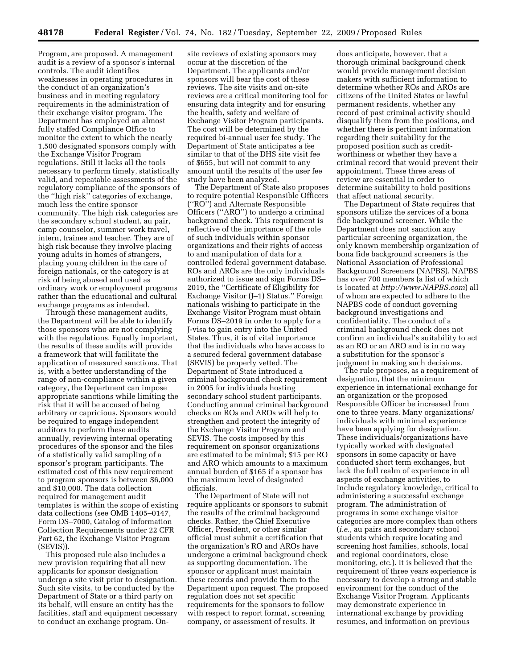Program, are proposed. A management audit is a review of a sponsor's internal controls. The audit identifies weaknesses in operating procedures in the conduct of an organization's business and in meeting regulatory requirements in the administration of their exchange visitor program. The Department has employed an almost fully staffed Compliance Office to monitor the extent to which the nearly 1,500 designated sponsors comply with the Exchange Visitor Program regulations. Still it lacks all the tools necessary to perform timely, statistically valid, and repeatable assessments of the regulatory compliance of the sponsors of the ''high risk'' categories of exchange, much less the entire sponsor community. The high risk categories are the secondary school student, au pair, camp counselor, summer work travel, intern, trainee and teacher. They are of high risk because they involve placing young adults in homes of strangers, placing young children in the care of foreign nationals, or the category is at risk of being abused and used as ordinary work or employment programs rather than the educational and cultural exchange programs as intended.

Through these management audits, the Department will be able to identify those sponsors who are not complying with the regulations. Equally important, the results of these audits will provide a framework that will facilitate the application of measured sanctions. That is, with a better understanding of the range of non-compliance within a given category, the Department can impose appropriate sanctions while limiting the risk that it will be accused of being arbitrary or capricious. Sponsors would be required to engage independent auditors to perform these audits annually, reviewing internal operating procedures of the sponsor and the files of a statistically valid sampling of a sponsor's program participants. The estimated cost of this new requirement to program sponsors is between \$6,000 and \$10,000. The data collection required for management audit templates is within the scope of existing data collections (see OMB 1405–0147, Form DS–7000, Catalog of Information Collection Requirements under 22 CFR Part 62, the Exchange Visitor Program (SEVIS)).

This proposed rule also includes a new provision requiring that all new applicants for sponsor designation undergo a site visit prior to designation. Such site visits, to be conducted by the Department of State or a third party on its behalf, will ensure an entity has the facilities, staff and equipment necessary to conduct an exchange program. On-

site reviews of existing sponsors may occur at the discretion of the Department. The applicants and/or sponsors will bear the cost of these reviews. The site visits and on-site reviews are a critical monitoring tool for ensuring data integrity and for ensuring the health, safety and welfare of Exchange Visitor Program participants. The cost will be determined by the required bi-annual user fee study. The Department of State anticipates a fee similar to that of the DHS site visit fee of \$655, but will not commit to any amount until the results of the user fee study have been analyzed.

The Department of State also proposes to require potential Responsible Officers (''RO'') and Alternate Responsible Officers (''ARO'') to undergo a criminal background check. This requirement is reflective of the importance of the role of such individuals within sponsor organizations and their rights of access to and manipulation of data for a controlled federal government database. ROs and AROs are the only individuals authorized to issue and sign Forms DS– 2019, the ''Certificate of Eligibility for Exchange Visitor (J–1) Status.'' Foreign nationals wishing to participate in the Exchange Visitor Program must obtain Forms DS–2019 in order to apply for a J-visa to gain entry into the United States. Thus, it is of vital importance that the individuals who have access to a secured federal government database (SEVIS) be properly vetted. The Department of State introduced a criminal background check requirement in 2005 for individuals hosting secondary school student participants. Conducting annual criminal background checks on ROs and AROs will help to strengthen and protect the integrity of the Exchange Visitor Program and SEVIS. The costs imposed by this requirement on sponsor organizations are estimated to be minimal; \$15 per RO and ARO which amounts to a maximum annual burden of \$165 if a sponsor has the maximum level of designated officials.

The Department of State will not require applicants or sponsors to submit the results of the criminal background checks. Rather, the Chief Executive Officer, President, or other similar official must submit a certification that the organization's RO and AROs have undergone a criminal background check as supporting documentation. The sponsor or applicant must maintain these records and provide them to the Department upon request. The proposed regulation does not set specific requirements for the sponsors to follow with respect to report format, screening company, or assessment of results. It

does anticipate, however, that a thorough criminal background check would provide management decision makers with sufficient information to determine whether ROs and AROs are citizens of the United States or lawful permanent residents, whether any record of past criminal activity should disqualify them from the positions, and whether there is pertinent information regarding their suitability for the proposed position such as creditworthiness or whether they have a criminal record that would prevent their appointment. These three areas of review are essential in order to determine suitability to hold positions that affect national security.

The Department of State requires that sponsors utilize the services of a bona fide background screener. While the Department does not sanction any particular screening organization, the only known membership organization of bona fide background screeners is the National Association of Professional Background Screeners (NAPBS). NAPBS has over 700 members (a list of which is located at *<http://www.NAPBS.com>*) all of whom are expected to adhere to the NAPBS code of conduct governing background investigations and confidentiality. The conduct of a criminal background check does not confirm an individual's suitability to act as an RO or an ARO and is in no way a substitution for the sponsor's judgment in making such decisions.

The rule proposes, as a requirement of designation, that the minimum experience in international exchange for an organization or the proposed Responsible Officer be increased from one to three years. Many organizations/ individuals with minimal experience have been applying for designation. These individuals/organizations have typically worked with designated sponsors in some capacity or have conducted short term exchanges, but lack the full realm of experience in all aspects of exchange activities, to include regulatory knowledge, critical to administering a successful exchange program. The administration of programs in some exchange visitor categories are more complex than others (*i.e.*, au pairs and secondary school students which require locating and screening host families, schools, local and regional coordinators, close monitoring, etc.). It is believed that the requirement of three years experience is necessary to develop a strong and stable environment for the conduct of the Exchange Visitor Program. Applicants may demonstrate experience in international exchange by providing resumes, and information on previous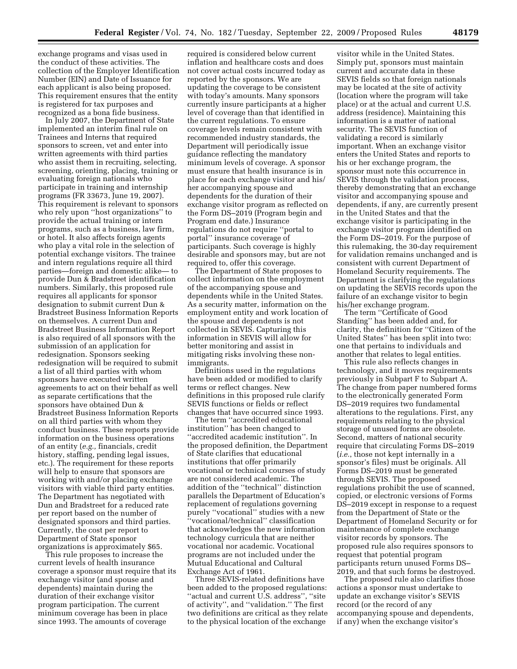exchange programs and visas used in the conduct of these activities. The collection of the Employer Identification Number (EIN) and Date of Issuance for each applicant is also being proposed. This requirement ensures that the entity is registered for tax purposes and recognized as a bona fide business.

In July 2007, the Department of State implemented an interim final rule on Trainees and Interns that required sponsors to screen, vet and enter into written agreements with third parties who assist them in recruiting, selecting, screening, orienting, placing, training or evaluating foreign nationals who participate in training and internship programs (FR 33673, June 19, 2007). This requirement is relevant to sponsors who rely upon ''host organizations'' to provide the actual training or intern programs, such as a business, law firm, or hotel. It also affects foreign agents who play a vital role in the selection of potential exchange visitors. The trainee and intern regulations require all third parties—foreign and domestic alike— to provide Dun & Bradstreet identification numbers. Similarly, this proposed rule requires all applicants for sponsor designation to submit current Dun & Bradstreet Business Information Reports on themselves. A current Dun and Bradstreet Business Information Report is also required of all sponsors with the submission of an application for redesignation. Sponsors seeking redesignation will be required to submit a list of all third parties with whom sponsors have executed written agreements to act on their behalf as well as separate certifications that the sponsors have obtained Dun & Bradstreet Business Information Reports on all third parties with whom they conduct business. These reports provide information on the business operations of an entity (*e.g.,* financials, credit history, staffing, pending legal issues, etc.). The requirement for these reports will help to ensure that sponsors are working with and/or placing exchange visitors with viable third party entities. The Department has negotiated with Dun and Bradstreet for a reduced rate per report based on the number of designated sponsors and third parties. Currently, the cost per report to Department of State sponsor organizations is approximately \$65.

This rule proposes to increase the current levels of health insurance coverage a sponsor must require that its exchange visitor (and spouse and dependents) maintain during the duration of their exchange visitor program participation. The current minimum coverage has been in place since 1993. The amounts of coverage

required is considered below current inflation and healthcare costs and does not cover actual costs incurred today as reported by the sponsors. We are updating the coverage to be consistent with today's amounts. Many sponsors currently insure participants at a higher level of coverage than that identified in the current regulations. To ensure coverage levels remain consistent with recommended industry standards, the Department will periodically issue guidance reflecting the mandatory minimum levels of coverage. A sponsor must ensure that health insurance is in place for each exchange visitor and his/ her accompanying spouse and dependents for the duration of their exchange visitor program as reflected on the Form DS–2019 (Program begin and Program end date.) Insurance regulations do not require ''portal to portal'' insurance coverage of participants. Such coverage is highly desirable and sponsors may, but are not required to, offer this coverage.

The Department of State proposes to collect information on the employment of the accompanying spouse and dependents while in the United States. As a security matter, information on the employment entity and work location of the spouse and dependents is not collected in SEVIS. Capturing this information in SEVIS will allow for better monitoring and assist in mitigating risks involving these nonimmigrants.

Definitions used in the regulations have been added or modified to clarify terms or reflect changes. New definitions in this proposed rule clarify SEVIS functions or fields or reflect changes that have occurred since 1993.

The term ''accredited educational institution'' has been changed to 'accredited academic institution". In the proposed definition, the Department of State clarifies that educational institutions that offer primarily vocational or technical courses of study are not considered academic. The addition of the ''technical'' distinction parallels the Department of Education's replacement of regulations governing purely ''vocational'' studies with a new ''vocational/technical'' classification that acknowledges the new information technology curricula that are neither vocational nor academic. Vocational programs are not included under the Mutual Educational and Cultural Exchange Act of 1961.

Three SEVIS-related definitions have been added to the proposed regulations: ''actual and current U.S. address'', ''site of activity'', and ''validation.'' The first two definitions are critical as they relate to the physical location of the exchange

visitor while in the United States. Simply put, sponsors must maintain current and accurate data in these SEVIS fields so that foreign nationals may be located at the site of activity (location where the program will take place) or at the actual and current U.S. address (residence). Maintaining this information is a matter of national security. The SEVIS function of validating a record is similarly important. When an exchange visitor enters the United States and reports to his or her exchange program, the sponsor must note this occurrence in SEVIS through the validation process, thereby demonstrating that an exchange visitor and accompanying spouse and dependents, if any, are currently present in the United States and that the exchange visitor is participating in the exchange visitor program identified on the Form DS–2019. For the purpose of this rulemaking, the 30-day requirement for validation remains unchanged and is consistent with current Department of Homeland Security requirements. The Department is clarifying the regulations on updating the SEVIS records upon the failure of an exchange visitor to begin his/her exchange program.

The term ''Certificate of Good Standing'' has been added and, for clarity, the definition for ''Citizen of the United States'' has been split into two: one that pertains to individuals and another that relates to legal entities.

This rule also reflects changes in technology, and it moves requirements previously in Subpart F to Subpart A. The change from paper numbered forms to the electronically generated Form DS–2019 requires two fundamental alterations to the regulations. First, any requirements relating to the physical storage of unused forms are obsolete. Second, matters of national security require that circulating Forms DS–2019 (*i.e.*, those not kept internally in a sponsor's files) must be originals. All Forms DS–2019 must be generated through SEVIS. The proposed regulations prohibit the use of scanned, copied, or electronic versions of Forms DS–2019 except in response to a request from the Department of State or the Department of Homeland Security or for maintenance of complete exchange visitor records by sponsors. The proposed rule also requires sponsors to request that potential program participants return unused Forms DS– 2019, and that such forms be destroyed.

The proposed rule also clarifies those actions a sponsor must undertake to update an exchange visitor's SEVIS record (or the record of any accompanying spouse and dependents, if any) when the exchange visitor's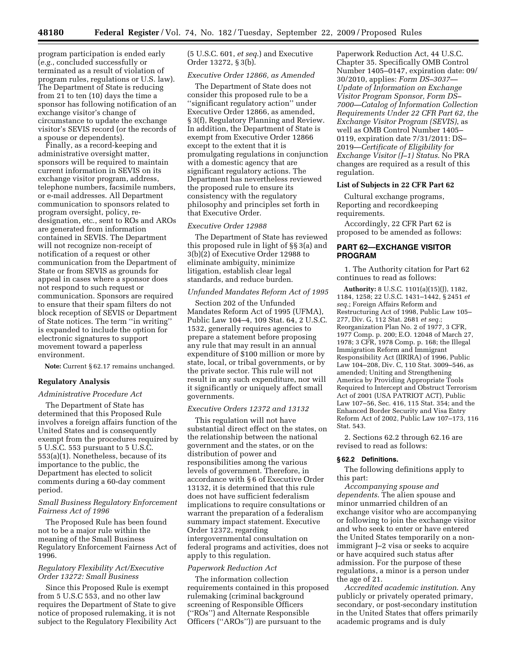program participation is ended early (*e.g.*, concluded successfully or terminated as a result of violation of program rules, regulations or U.S. law). The Department of State is reducing from 21 to ten (10) days the time a sponsor has following notification of an exchange visitor's change of circumstance to update the exchange visitor's SEVIS record (or the records of a spouse or dependents).

Finally, as a record-keeping and administrative oversight matter, sponsors will be required to maintain current information in SEVIS on its exchange visitor program, address, telephone numbers, facsimile numbers, or e-mail addresses. All Department communication to sponsors related to program oversight, policy, redesignation, etc., sent to ROs and AROs are generated from information contained in SEVIS. The Department will not recognize non-receipt of notification of a request or other communication from the Department of State or from SEVIS as grounds for appeal in cases where a sponsor does not respond to such request or communication. Sponsors are required to ensure that their spam filters do not block reception of SEVIS or Department of State notices. The term ''in writing'' is expanded to include the option for electronic signatures to support movement toward a paperless environment.

**Note:** Current § 62.17 remains unchanged.

### **Regulatory Analysis**

#### *Administrative Procedure Act*

The Department of State has determined that this Proposed Rule involves a foreign affairs function of the United States and is consequently exempt from the procedures required by 5 U.S.C. 553 pursuant to 5 U.S.C. 553(a)(1). Nonetheless, because of its importance to the public, the Department has elected to solicit comments during a 60-day comment period.

## *Small Business Regulatory Enforcement Fairness Act of 1996*

The Proposed Rule has been found not to be a major rule within the meaning of the Small Business Regulatory Enforcement Fairness Act of 1996.

## *Regulatory Flexibility Act/Executive Order 13272: Small Business*

Since this Proposed Rule is exempt from 5 U.S.C 553, and no other law requires the Department of State to give notice of proposed rulemaking, it is not subject to the Regulatory Flexibility Act (5 U.S.C. 601, *et seq*.) and Executive Order 13272, § 3(b).

#### *Executive Order 12866, as Amended*

The Department of State does not consider this proposed rule to be a ''significant regulatory action'' under Executive Order 12866, as amended, § 3(f), Regulatory Planning and Review. In addition, the Department of State is exempt from Executive Order 12866 except to the extent that it is promulgating regulations in conjunction with a domestic agency that are significant regulatory actions. The Department has nevertheless reviewed the proposed rule to ensure its consistency with the regulatory philosophy and principles set forth in that Executive Order.

### *Executive Order 12988*

The Department of State has reviewed this proposed rule in light of §§ 3(a) and 3(b)(2) of Executive Order 12988 to eliminate ambiguity, minimize litigation, establish clear legal standards, and reduce burden.

## *Unfunded Mandates Reform Act of 1995*

Section 202 of the Unfunded Mandates Reform Act of 1995 (UFMA), Public Law 104–4, 109 Stat. 64, 2 U.S.C. 1532, generally requires agencies to prepare a statement before proposing any rule that may result in an annual expenditure of \$100 million or more by state, local, or tribal governments, or by the private sector. This rule will not result in any such expenditure, nor will it significantly or uniquely affect small governments.

## *Executive Orders 12372 and 13132*

This regulation will not have substantial direct effect on the states, on the relationship between the national government and the states, or on the distribution of power and responsibilities among the various levels of government. Therefore, in accordance with § 6 of Executive Order 13132, it is determined that this rule does not have sufficient federalism implications to require consultations or warrant the preparation of a federalism summary impact statement. Executive Order 12372, regarding intergovernmental consultation on federal programs and activities, does not apply to this regulation.

#### *Paperwork Reduction Act*

The information collection requirements contained in this proposed rulemaking (criminal background screening of Responsible Officers (''ROs'') and Alternate Responsible Officers (''AROs'')) are pursuant to the

Paperwork Reduction Act, 44 U.S.C. Chapter 35. Specifically OMB Control Number 1405–0147, expiration date: 09/ 30/2010, applies: *Form DS–3037— Update of Information on Exchange Visitor Program Sponsor, Form DS– 7000—Catalog of Information Collection Requirements Under 22 CFR Part 62, the Exchange Visitor Program (SEVIS)*, as well as OMB Control Number 1405– 0119, expiration date 7/31/2011: DS– 2019—*Certificate of Eligibility for Exchange Visitor (J–1) Status*. No PRA changes are required as a result of this regulation.

#### **List of Subjects in 22 CFR Part 62**

Cultural exchange programs, Reporting and recordkeeping requirements.

Accordingly, 22 CFR Part 62 is proposed to be amended as follows:

# **PART 62—EXCHANGE VISITOR PROGRAM**

1. The Authority citation for Part 62 continues to read as follows:

**Authority:** 8 U.S.C. 1101(a)(15)(J), 1182, 1184, 1258; 22 U.S.C. 1431–1442, § 2451 *et seq.*; Foreign Affairs Reform and Restructuring Act of 1998, Public Law 105– 277, Div. G, 112 Stat. 2681 *et seq.*; Reorganization Plan No. 2 of 1977, 3 CFR, 1977 Comp. p. 200; E.O. 12048 of March 27, 1978; 3 CFR, 1978 Comp. p. 168; the Illegal Immigration Reform and Immigrant Responsibility Act (IIRIRA) of 1996, Public Law 104–208, Div. C, 110 Stat. 3009–546, as amended; Uniting and Strengthening America by Providing Appropriate Tools Required to Intercept and Obstruct Terrorism Act of 2001 (USA PATRIOT ACT), Public Law 107–56, Sec. 416, 115 Stat. 354; and the Enhanced Border Security and Visa Entry Reform Act of 2002, Public Law 107–173, 116 Stat. 543.

2. Sections 62.2 through 62.16 are revised to read as follows:

## **§ 62.2 Definitions.**

The following definitions apply to this part:

*Accompanying spouse and dependents*. The alien spouse and minor unmarried children of an exchange visitor who are accompanying or following to join the exchange visitor and who seek to enter or have entered the United States temporarily on a nonimmigrant J–2 visa or seeks to acquire or have acquired such status after admission. For the purpose of these regulations, a minor is a person under the age of 21.

*Accredited academic institution*. Any publicly or privately operated primary, secondary, or post-secondary institution in the United States that offers primarily academic programs and is duly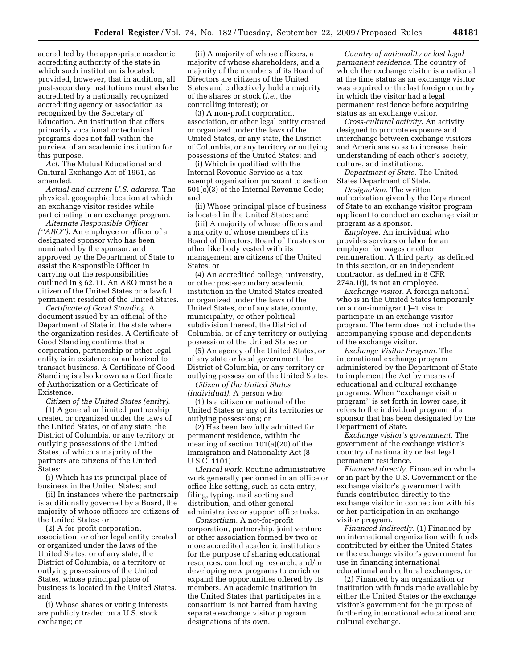accredited by the appropriate academic accrediting authority of the state in which such institution is located; provided, however, that in addition, all post-secondary institutions must also be accredited by a nationally recognized accrediting agency or association as recognized by the Secretary of Education. An institution that offers primarily vocational or technical programs does not fall within the purview of an academic institution for this purpose.

*Act*. The Mutual Educational and Cultural Exchange Act of 1961, as amended.

*Actual and current U.S. address*. The physical, geographic location at which an exchange visitor resides while participating in an exchange program.

*Alternate Responsible Officer (''ARO'')*. An employee or officer of a designated sponsor who has been nominated by the sponsor, and approved by the Department of State to assist the Responsible Officer in carrying out the responsibilities outlined in § 62.11. An ARO must be a citizen of the United States or a lawful permanent resident of the United States.

*Certificate of Good Standing*. A document issued by an official of the Department of State in the state where the organization resides. A Certificate of Good Standing confirms that a corporation, partnership or other legal entity is in existence or authorized to transact business. A Certificate of Good Standing is also known as a Certificate of Authorization or a Certificate of Existence.

*Citizen of the United States (entity)*.

(1) A general or limited partnership created or organized under the laws of the United States, or of any state, the District of Columbia, or any territory or outlying possessions of the United States, of which a majority of the partners are citizens of the United States:

(i) Which has its principal place of business in the United States; and

(ii) In instances where the partnership is additionally governed by a Board, the majority of whose officers are citizens of the United States; or

(2) A for-profit corporation, association, or other legal entity created or organized under the laws of the United States, or of any state, the District of Columbia, or a territory or outlying possessions of the United States, whose principal place of business is located in the United States, and

(i) Whose shares or voting interests are publicly traded on a U.S. stock exchange; or

(ii) A majority of whose officers, a majority of whose shareholders, and a majority of the members of its Board of Directors are citizens of the United States and collectively hold a majority of the shares or stock (*i.e.*, the controlling interest); or

(3) A non-profit corporation, association, or other legal entity created or organized under the laws of the United States, or any state, the District of Columbia, or any territory or outlying possessions of the United States; and

(i) Which is qualified with the Internal Revenue Service as a taxexempt organization pursuant to section 501(c)(3) of the Internal Revenue Code; and

(ii) Whose principal place of business is located in the United States; and

(iii) A majority of whose officers and a majority of whose members of its Board of Directors, Board of Trustees or other like body vested with its management are citizens of the United States; or

(4) An accredited college, university, or other post-secondary academic institution in the United States created or organized under the laws of the United States, or of any state, county, municipality, or other political subdivision thereof, the District of Columbia, or of any territory or outlying possession of the United States; or

(5) An agency of the United States, or of any state or local government, the District of Columbia, or any territory or outlying possession of the United States.

*Citizen of the United States (individual)*. A person who:

(1) Is a citizen or national of the United States or any of its territories or outlying possessions; or

(2) Has been lawfully admitted for permanent residence, within the meaning of section 101(a)(20) of the Immigration and Nationality Act (8 U.S.C. 1101).

*Clerical work.* Routine administrative work generally performed in an office or office-like setting, such as data entry, filing, typing, mail sorting and distribution, and other general administrative or support office tasks.

*Consortium*. A not-for-profit corporation, partnership, joint venture or other association formed by two or more accredited academic institutions for the purpose of sharing educational resources, conducting research, and/or developing new programs to enrich or expand the opportunities offered by its members. An academic institution in the United States that participates in a consortium is not barred from having separate exchange visitor program designations of its own.

*Country of nationality or last legal permanent residence*. The country of which the exchange visitor is a national at the time status as an exchange visitor was acquired or the last foreign country in which the visitor had a legal permanent residence before acquiring status as an exchange visitor.

*Cross-cultural activity*. An activity designed to promote exposure and interchange between exchange visitors and Americans so as to increase their understanding of each other's society, culture, and institutions.

*Department of State*. The United States Department of State.

*Designation*. The written authorization given by the Department of State to an exchange visitor program applicant to conduct an exchange visitor program as a sponsor.

*Employee*. An individual who provides services or labor for an employer for wages or other remuneration. A third party, as defined in this section, or an independent contractor, as defined in 8 CFR 274a.1(j), is not an employee.

*Exchange visitor*. A foreign national who is in the United States temporarily on a non-immigrant J–1 visa to participate in an exchange visitor program. The term does not include the accompanying spouse and dependents of the exchange visitor.

*Exchange Visitor Program*. The international exchange program administered by the Department of State to implement the Act by means of educational and cultural exchange programs. When ''exchange visitor program'' is set forth in lower case, it refers to the individual program of a sponsor that has been designated by the Department of State.

*Exchange visitor's government*. The government of the exchange visitor's country of nationality or last legal permanent residence.

*Financed directly*. Financed in whole or in part by the U.S. Government or the exchange visitor's government with funds contributed directly to the exchange visitor in connection with his or her participation in an exchange visitor program.

*Financed indirectly*. (1) Financed by an international organization with funds contributed by either the United States or the exchange visitor's government for use in financing international educational and cultural exchanges, or

(2) Financed by an organization or institution with funds made available by either the United States or the exchange visitor's government for the purpose of furthering international educational and cultural exchange.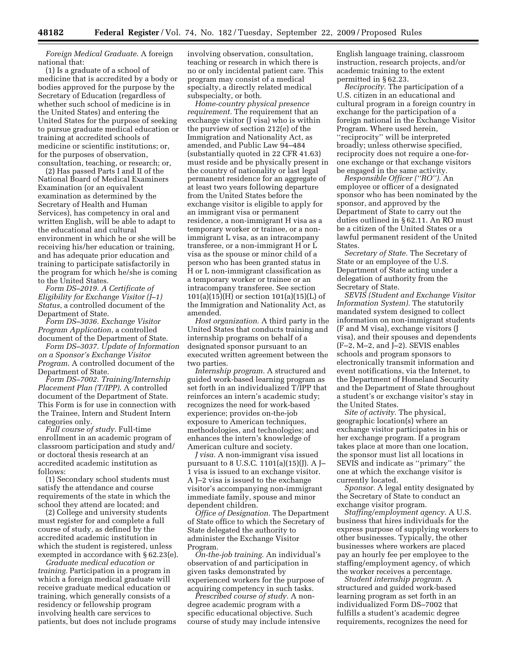*Foreign Medical Graduate*. A foreign national that:

(1) Is a graduate of a school of medicine that is accredited by a body or bodies approved for the purpose by the Secretary of Education (regardless of whether such school of medicine is in the United States) and entering the United States for the purpose of seeking to pursue graduate medical education or training at accredited schools of medicine or scientific institutions; or, for the purposes of observation, consultation, teaching, or research; or,

(2) Has passed Parts I and II of the National Board of Medical Examiners Examination (or an equivalent examination as determined by the Secretary of Health and Human Services), has competency in oral and written English, will be able to adapt to the educational and cultural environment in which he or she will be receiving his/her education or training, and has adequate prior education and training to participate satisfactorily in the program for which he/she is coming to the United States.

*Form DS–2019. A Certificate of Eligibility for Exchange Visitor (J–1) Status*, a controlled document of the Department of State.

*Form DS–3036. Exchange Visitor Program Application*, a controlled document of the Department of State.

*Form DS–3037. Update of Information on a Sponsor's Exchange Visitor Program*. A controlled document of the Department of State.

*Form DS–7002. Training/Internship Placement Plan (T/IPP)*. A controlled document of the Department of State. This Form is for use in connection with the Trainee, Intern and Student Intern categories only.

*Full course of study.* Full-time enrollment in an academic program of classroom participation and study and/ or doctoral thesis research at an accredited academic institution as follows:

(1) Secondary school students must satisfy the attendance and course requirements of the state in which the school they attend are located; and

(2) College and university students must register for and complete a full course of study, as defined by the accredited academic institution in which the student is registered, unless exempted in accordance with § 62.23(e).

*Graduate medical education or training.* Participation in a program in which a foreign medical graduate will receive graduate medical education or training, which generally consists of a residency or fellowship program involving health care services to patients, but does not include programs

involving observation, consultation, teaching or research in which there is no or only incidental patient care. This program may consist of a medical specialty, a directly related medical subspecialty, or both.

*Home-country physical presence requirement.* The requirement that an exchange visitor (J visa) who is within the purview of section 212(e) of the Immigration and Nationality Act, as amended, and Public Law 94–484 (substantially quoted in 22 CFR 41.63) must reside and be physically present in the country of nationality or last legal permanent residence for an aggregate of at least two years following departure from the United States before the exchange visitor is eligible to apply for an immigrant visa or permanent residence, a non-immigrant H visa as a temporary worker or trainee, or a nonimmigrant L visa, as an intracompany transferee, or a non-immigrant H or L visa as the spouse or minor child of a person who has been granted status in H or L non-immigrant classification as a temporary worker or trainee or an intracompany transferee. See section  $101(a)(15)(H)$  or section  $101(a)(15)(L)$  of the Immigration and Nationality Act, as amended.

*Host organization.* A third party in the United States that conducts training and internship programs on behalf of a designated sponsor pursuant to an executed written agreement between the two parties.

*Internship program.* A structured and guided work-based learning program as set forth in an individualized T/IPP that reinforces an intern's academic study; recognizes the need for work-based experience; provides on-the-job exposure to American techniques, methodologies, and technologies; and enhances the intern's knowledge of American culture and society.

*J visa.* A non-immigrant visa issued pursuant to 8 U.S.C. 1101(a)(15)(J). A J– 1 visa is issued to an exchange visitor. A J–2 visa is issued to the exchange visitor's accompanying non-immigrant immediate family, spouse and minor dependent children.

*Office of Designation.* The Department of State office to which the Secretary of State delegated the authority to administer the Exchange Visitor Program

*On-the-job training.* An individual's observation of and participation in given tasks demonstrated by experienced workers for the purpose of acquiring competency in such tasks.

*Prescribed course of study.* A nondegree academic program with a specific educational objective. Such course of study may include intensive English language training, classroom instruction, research projects, and/or academic training to the extent permitted in § 62.23.

*Reciprocity.* The participation of a U.S. citizen in an educational and cultural program in a foreign country in exchange for the participation of a foreign national in the Exchange Visitor Program. Where used herein, ''reciprocity'' will be interpreted broadly; unless otherwise specified, reciprocity does not require a one-forone exchange or that exchange visitors be engaged in the same activity.

*Responsible Officer (''RO'').* An employee or officer of a designated sponsor who has been nominated by the sponsor, and approved by the Department of State to carry out the duties outlined in § 62.11. An RO must be a citizen of the United States or a lawful permanent resident of the United States.

*Secretary of State.* The Secretary of State or an employee of the U.S. Department of State acting under a delegation of authority from the Secretary of State.

*SEVIS (Student and Exchange Visitor Information System).* The statutorily mandated system designed to collect information on non-immigrant students (F and M visa), exchange visitors (J visa), and their spouses and dependents (F–2, M–2, and J–2). SEVIS enables schools and program sponsors to electronically transmit information and event notifications, via the Internet, to the Department of Homeland Security and the Department of State throughout a student's or exchange visitor's stay in the United States.

*Site of activity.* The physical, geographic location(s) where an exchange visitor participates in his or her exchange program. If a program takes place at more than one location, the sponsor must list all locations in SEVIS and indicate as ''primary'' the one at which the exchange visitor is currently located.

*Sponsor.* A legal entity designated by the Secretary of State to conduct an exchange visitor program.

*Staffing/employment agency.* A U.S. business that hires individuals for the express purpose of supplying workers to other businesses. Typically, the other businesses where workers are placed pay an hourly fee per employee to the staffing/employment agency, of which the worker receives a percentage.

*Student internship program.* A structured and guided work-based learning program as set forth in an individualized Form DS–7002 that fulfills a student's academic degree requirements, recognizes the need for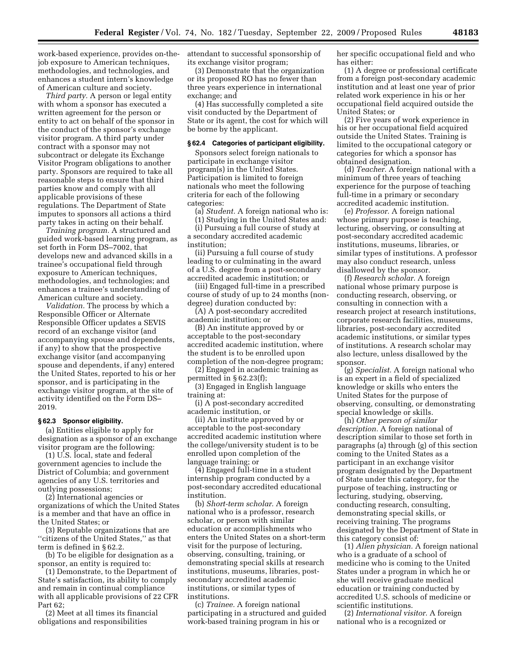work-based experience, provides on-thejob exposure to American techniques, methodologies, and technologies, and enhances a student intern's knowledge of American culture and society.

*Third party.* A person or legal entity with whom a sponsor has executed a written agreement for the person or entity to act on behalf of the sponsor in the conduct of the sponsor's exchange visitor program. A third party under contract with a sponsor may not subcontract or delegate its Exchange Visitor Program obligations to another party. Sponsors are required to take all reasonable steps to ensure that third parties know and comply with all applicable provisions of these regulations. The Department of State imputes to sponsors all actions a third party takes in acting on their behalf.

*Training program.* A structured and guided work-based learning program, as set forth in Form DS–7002, that develops new and advanced skills in a trainee's occupational field through exposure to American techniques, methodologies, and technologies; and enhances a trainee's understanding of American culture and society.

*Validation.* The process by which a Responsible Officer or Alternate Responsible Officer updates a SEVIS record of an exchange visitor (and accompanying spouse and dependents, if any) to show that the prospective exchange visitor (and accompanying spouse and dependents, if any) entered the United States, reported to his or her sponsor, and is participating in the exchange visitor program, at the site of activity identified on the Form DS– 2019.

### **§ 62.3 Sponsor eligibility.**

(a) Entities eligible to apply for designation as a sponsor of an exchange visitor program are the following:

(1) U.S. local, state and federal government agencies to include the District of Columbia; and government agencies of any U.S. territories and outlying possessions;

(2) International agencies or organizations of which the United States is a member and that have an office in the United States; or

(3) Reputable organizations that are ''citizens of the United States,'' as that term is defined in § 62.2.

(b) To be eligible for designation as a sponsor, an entity is required to:

(1) Demonstrate, to the Department of State's satisfaction, its ability to comply and remain in continual compliance with all applicable provisions of 22 CFR Part 62;

(2) Meet at all times its financial obligations and responsibilities

attendant to successful sponsorship of its exchange visitor program;

(3) Demonstrate that the organization or its proposed RO has no fewer than three years experience in international exchange; and

(4) Has successfully completed a site visit conducted by the Department of State or its agent, the cost for which will be borne by the applicant.

# **§ 62.4 Categories of participant eligibility.**

Sponsors select foreign nationals to participate in exchange visitor program(s) in the United States. Participation is limited to foreign nationals who meet the following criteria for each of the following categories:

(a) *Student.* A foreign national who is:

(1) Studying in the United States and:

(i) Pursuing a full course of study at a secondary accredited academic institution;

(ii) Pursuing a full course of study leading to or culminating in the award of a U.S. degree from a post-secondary accredited academic institution; or

(iii) Engaged full-time in a prescribed course of study of up to 24 months (nondegree) duration conducted by:

(A) A post-secondary accredited academic institution; or

(B) An institute approved by or acceptable to the post-secondary accredited academic institution, where the student is to be enrolled upon completion of the non-degree program;

(2) Engaged in academic training as permitted in § 62.23(f);

(3) Engaged in English language training at:

(i) A post-secondary accredited academic institution, or

(ii) An institute approved by or acceptable to the post-secondary accredited academic institution where the college/university student is to be enrolled upon completion of the language training; or

(4) Engaged full-time in a student internship program conducted by a post-secondary accredited educational institution.

(b) *Short-term scholar.* A foreign national who is a professor, research scholar, or person with similar education or accomplishments who enters the United States on a short-term visit for the purpose of lecturing, observing, consulting, training, or demonstrating special skills at research institutions, museums, libraries, postsecondary accredited academic institutions, or similar types of institutions.

(c) *Trainee.* A foreign national participating in a structured and guided work-based training program in his or

her specific occupational field and who has either:

(1) A degree or professional certificate from a foreign post-secondary academic institution and at least one year of prior related work experience in his or her occupational field acquired outside the United States; or

(2) Five years of work experience in his or her occupational field acquired outside the United States. Training is limited to the occupational category or categories for which a sponsor has obtained designation.

(d) *Teacher.* A foreign national with a minimum of three years of teaching experience for the purpose of teaching full-time in a primary or secondary accredited academic institution.

(e) *Professor.* A foreign national whose primary purpose is teaching, lecturing, observing, or consulting at post-secondary accredited academic institutions, museums, libraries, or similar types of institutions. A professor may also conduct research, unless disallowed by the sponsor.

(f) *Research scholar.* A foreign national whose primary purpose is conducting research, observing, or consulting in connection with a research project at research institutions, corporate research facilities, museums, libraries, post-secondary accredited academic institutions, or similar types of institutions. A research scholar may also lecture, unless disallowed by the sponsor.

(g) *Specialist.* A foreign national who is an expert in a field of specialized knowledge or skills who enters the United States for the purpose of observing, consulting, or demonstrating special knowledge or skills.

(h) *Other person of similar description.* A foreign national of description similar to those set forth in paragraphs (a) through (g) of this section coming to the United States as a participant in an exchange visitor program designated by the Department of State under this category, for the purpose of teaching, instructing or lecturing, studying, observing, conducting research, consulting, demonstrating special skills, or receiving training. The programs designated by the Department of State in this category consist of:

(1) *Alien physician.* A foreign national who is a graduate of a school of medicine who is coming to the United States under a program in which he or she will receive graduate medical education or training conducted by accredited U.S. schools of medicine or scientific institutions.

(2) *International visitor.* A foreign national who is a recognized or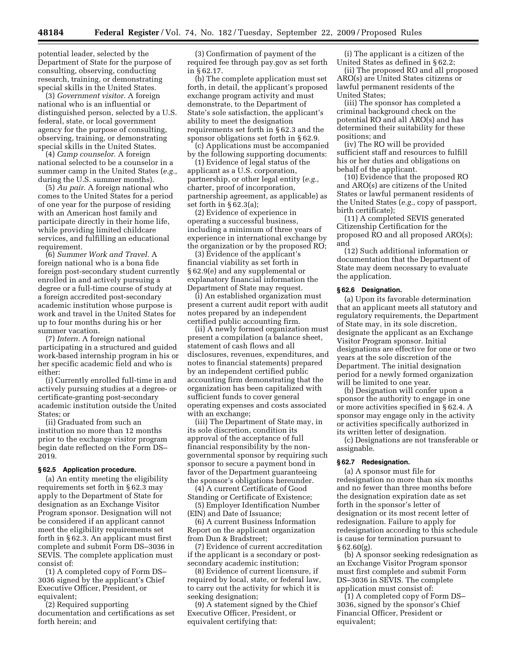potential leader, selected by the Department of State for the purpose of consulting, observing, conducting research, training, or demonstrating special skills in the United States.

(3) *Government visitor.* A foreign national who is an influential or distinguished person, selected by a U.S. federal, state, or local government agency for the purpose of consulting, observing, training, or demonstrating special skills in the United States.

(4) *Camp counselor.* A foreign national selected to be a counselor in a summer camp in the United States (*e.g.,*  during the U.S. summer months).

(5) *Au pair.* A foreign national who comes to the United States for a period of one year for the purpose of residing with an American host family and participate directly in their home life, while providing limited childcare services, and fulfilling an educational requirement.

(6) *Summer Work and Travel.* A foreign national who is a bona fide foreign post-secondary student currently enrolled in and actively pursuing a degree or a full-time course of study at a foreign accredited post-secondary academic institution whose purpose is work and travel in the United States for up to four months during his or her summer vacation.

(7) *Intern.* A foreign national participating in a structured and guided work-based internship program in his or her specific academic field and who is either:

(i) Currently enrolled full-time in and actively pursuing studies at a degree- or certificate-granting post-secondary academic institution outside the United States; or

(ii) Graduated from such an institution no more than 12 months prior to the exchange visitor program begin date reflected on the Form DS– 2019.

#### **§ 62.5 Application procedure.**

(a) An entity meeting the eligibility requirements set forth in § 62.3 may apply to the Department of State for designation as an Exchange Visitor Program sponsor. Designation will not be considered if an applicant cannot meet the eligibility requirements set forth in § 62.3. An applicant must first complete and submit Form DS–3036 in SEVIS. The complete application must consist of:

(1) A completed copy of Form DS– 3036 signed by the applicant's Chief Executive Officer, President, or equivalent;

(2) Required supporting documentation and certifications as set forth herein; and

(3) Confirmation of payment of the required fee through pay.gov as set forth in § 62.17.

(b) The complete application must set forth, in detail, the applicant's proposed exchange program activity and must demonstrate, to the Department of State's sole satisfaction, the applicant's ability to meet the designation requirements set forth in § 62.3 and the sponsor obligations set forth in § 62.9.

(c) Applications must be accompanied by the following supporting documents:

(1) Evidence of legal status of the applicant as a U.S. corporation, partnership, or other legal entity (*e.g.,*  charter, proof of incorporation, partnership agreement, as applicable) as set forth in § 62.3(a);

(2) Evidence of experience in operating a successful business, including a minimum of three years of experience in international exchange by the organization or by the proposed RO;

(3) Evidence of the applicant's financial viability as set forth in § 62.9(e) and any supplemental or explanatory financial information the Department of State may request.

(i) An established organization must present a current audit report with audit notes prepared by an independent certified public accounting firm.

(ii) A newly formed organization must present a compilation (a balance sheet, statement of cash flows and all disclosures, revenues, expenditures, and notes to financial statements) prepared by an independent certified public accounting firm demonstrating that the organization has been capitalized with sufficient funds to cover general operating expenses and costs associated with an exchange;

(iii) The Department of State may, in its sole discretion, condition its approval of the acceptance of full financial responsibility by the nongovernmental sponsor by requiring such sponsor to secure a payment bond in favor of the Department guaranteeing the sponsor's obligations hereunder.

(4) A current Certificate of Good Standing or Certificate of Existence;

(5) Employer Identification Number (EIN) and Date of Issuance;

(6) A current Business Information Report on the applicant organization from Dun & Bradstreet;

(7) Evidence of current accreditation if the applicant is a secondary or postsecondary academic institution;

(8) Evidence of current licensure, if required by local, state, or federal law, to carry out the activity for which it is seeking designation;

(9) A statement signed by the Chief Executive Officer, President, or equivalent certifying that:

(i) The applicant is a citizen of the United States as defined in § 62.2;

(ii) The proposed RO and all proposed ARO(s) are United States citizens or lawful permanent residents of the United States;

(iii) The sponsor has completed a criminal background check on the potential RO and all ARO(s) and has determined their suitability for these positions; and

(iv) The RO will be provided sufficient staff and resources to fulfill his or her duties and obligations on behalf of the applicant.

(10) Evidence that the proposed RO and ARO(s) are citizens of the United States or lawful permanent residents of the United States (*e.g.,* copy of passport, birth certificate);

(11) A completed SEVIS generated Citizenship Certification for the proposed RO and all proposed ARO(s); and

(12) Such additional information or documentation that the Department of State may deem necessary to evaluate the application.

#### **§ 62.6 Designation.**

(a) Upon its favorable determination that an applicant meets all statutory and regulatory requirements, the Department of State may, in its sole discretion, designate the applicant as an Exchange Visitor Program sponsor. Initial designations are effective for one or two years at the sole discretion of the Department. The initial designation period for a newly formed organization will be limited to one year.

(b) Designation will confer upon a sponsor the authority to engage in one or more activities specified in § 62.4. A sponsor may engage only in the activity or activities specifically authorized in its written letter of designation.

(c) Designations are not transferable or assignable.

## **§ 62.7 Redesignation.**

(a) A sponsor must file for redesignation no more than six months and no fewer than three months before the designation expiration date as set forth in the sponsor's letter of designation or its most recent letter of redesignation. Failure to apply for redesignation according to this schedule is cause for termination pursuant to  $§ 62.60(g).$ 

(b) A sponsor seeking redesignation as an Exchange Visitor Program sponsor must first complete and submit Form DS–3036 in SEVIS. The complete application must consist of:

(1) A completed copy of Form DS– 3036, signed by the sponsor's Chief Financial Officer, President or equivalent;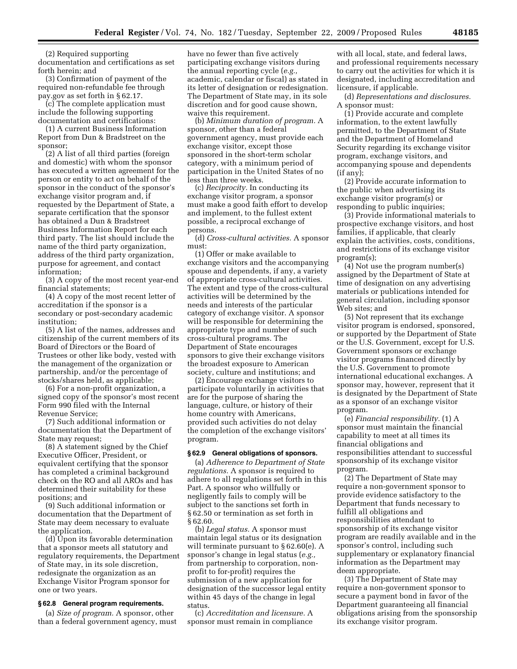(2) Required supporting documentation and certifications as set forth herein; and

(3) Confirmation of payment of the required non-refundable fee through pay.gov as set forth in § 62.17.

(c) The complete application must include the following supporting documentation and certifications:

(1) A current Business Information Report from Dun & Bradstreet on the sponsor;

(2) A list of all third parties (foreign and domestic) with whom the sponsor has executed a written agreement for the person or entity to act on behalf of the sponsor in the conduct of the sponsor's exchange visitor program and, if requested by the Department of State, a separate certification that the sponsor has obtained a Dun & Bradstreet Business Information Report for each third party. The list should include the name of the third party organization, address of the third party organization, purpose for agreement, and contact information;

(3) A copy of the most recent year-end financial statements;

(4) A copy of the most recent letter of accreditation if the sponsor is a secondary or post-secondary academic institution;

(5) A list of the names, addresses and citizenship of the current members of its Board of Directors or the Board of Trustees or other like body, vested with the management of the organization or partnership, and/or the percentage of stocks/shares held, as applicable;

(6) For a non-profit organization, a signed copy of the sponsor's most recent Form 990 filed with the Internal Revenue Service;

(7) Such additional information or documentation that the Department of State may request;

(8) A statement signed by the Chief Executive Officer, President, or equivalent certifying that the sponsor has completed a criminal background check on the RO and all AROs and has determined their suitability for these positions; and

(9) Such additional information or documentation that the Department of State may deem necessary to evaluate the application.

(d) Upon its favorable determination that a sponsor meets all statutory and regulatory requirements, the Department of State may, in its sole discretion, redesignate the organization as an Exchange Visitor Program sponsor for one or two years.

## **§ 62.8 General program requirements.**

(a) *Size of program.* A sponsor, other than a federal government agency, must have no fewer than five actively participating exchange visitors during the annual reporting cycle (*e.g.,*  academic, calendar or fiscal) as stated in its letter of designation or redesignation. The Department of State may, in its sole discretion and for good cause shown, waive this requirement.

(b) *Minimum duration of program.* A sponsor, other than a federal government agency, must provide each exchange visitor, except those sponsored in the short-term scholar category, with a minimum period of participation in the United States of no less than three weeks.

(c) *Reciprocity.* In conducting its exchange visitor program, a sponsor must make a good faith effort to develop and implement, to the fullest extent possible, a reciprocal exchange of persons.

(d) *Cross-cultural activities.* A sponsor must:

(1) Offer or make available to exchange visitors and the accompanying spouse and dependents, if any, a variety of appropriate cross-cultural activities. The extent and type of the cross-cultural activities will be determined by the needs and interests of the particular category of exchange visitor. A sponsor will be responsible for determining the appropriate type and number of such cross-cultural programs. The Department of State encourages sponsors to give their exchange visitors the broadest exposure to American society, culture and institutions; and

(2) Encourage exchange visitors to participate voluntarily in activities that are for the purpose of sharing the language, culture, or history of their home country with Americans, provided such activities do not delay the completion of the exchange visitors' program.

#### **§ 62.9 General obligations of sponsors.**

(a) *Adherence to Department of State regulations.* A sponsor is required to adhere to all regulations set forth in this Part. A sponsor who willfully or negligently fails to comply will be subject to the sanctions set forth in § 62.50 or termination as set forth in § 62.60.

(b) *Legal status.* A sponsor must maintain legal status or its designation will terminate pursuant to § 62.60(e). A sponsor's change in legal status (*e.g.,*  from partnership to corporation, nonprofit to for-profit) requires the submission of a new application for designation of the successor legal entity within 45 days of the change in legal status.

(c) *Accreditation and licensure.* A sponsor must remain in compliance

with all local, state, and federal laws, and professional requirements necessary to carry out the activities for which it is designated, including accreditation and licensure, if applicable.

(d) *Representations and disclosures.*  A sponsor must:

(1) Provide accurate and complete information, to the extent lawfully permitted, to the Department of State and the Department of Homeland Security regarding its exchange visitor program, exchange visitors, and accompanying spouse and dependents (if any);

(2) Provide accurate information to the public when advertising its exchange visitor program(s) or responding to public inquiries;

(3) Provide informational materials to prospective exchange visitors, and host families, if applicable, that clearly explain the activities, costs, conditions, and restrictions of its exchange visitor program(s);

(4) Not use the program number(s) assigned by the Department of State at time of designation on any advertising materials or publications intended for general circulation, including sponsor Web sites; and

(5) Not represent that its exchange visitor program is endorsed, sponsored, or supported by the Department of State or the U.S. Government, except for U.S. Government sponsors or exchange visitor programs financed directly by the U.S. Government to promote international educational exchanges. A sponsor may, however, represent that it is designated by the Department of State as a sponsor of an exchange visitor program.

(e) *Financial responsibility.* (1) A sponsor must maintain the financial capability to meet at all times its financial obligations and responsibilities attendant to successful sponsorship of its exchange visitor program.

(2) The Department of State may require a non-government sponsor to provide evidence satisfactory to the Department that funds necessary to fulfill all obligations and responsibilities attendant to sponsorship of its exchange visitor program are readily available and in the sponsor's control, including such supplementary or explanatory financial information as the Department may deem appropriate.

(3) The Department of State may require a non-government sponsor to secure a payment bond in favor of the Department guaranteeing all financial obligations arising from the sponsorship its exchange visitor program.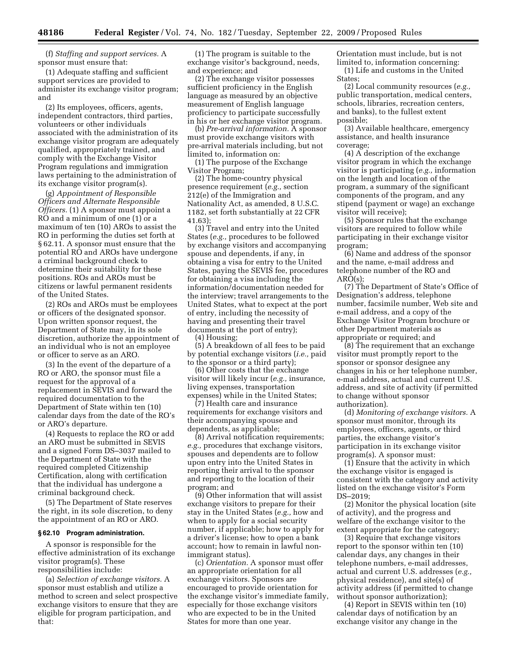(f) *Staffing and support services.* A sponsor must ensure that:

(1) Adequate staffing and sufficient support services are provided to administer its exchange visitor program; and

(2) Its employees, officers, agents, independent contractors, third parties, volunteers or other individuals associated with the administration of its exchange visitor program are adequately qualified, appropriately trained, and comply with the Exchange Visitor Program regulations and immigration laws pertaining to the administration of its exchange visitor program(s).

(g) *Appointment of Responsible Officers and Alternate Responsible Officers.* (1) A sponsor must appoint a RO and a minimum of one (1) or a maximum of ten (10) AROs to assist the RO in performing the duties set forth at § 62.11. A sponsor must ensure that the potential RO and AROs have undergone a criminal background check to determine their suitability for these positions. ROs and AROs must be citizens or lawful permanent residents of the United States.

(2) ROs and AROs must be employees or officers of the designated sponsor. Upon written sponsor request, the Department of State may, in its sole discretion, authorize the appointment of an individual who is not an employee or officer to serve as an ARO.

(3) In the event of the departure of a RO or ARO, the sponsor must file a request for the approval of a replacement in SEVIS and forward the required documentation to the Department of State within ten (10) calendar days from the date of the RO's or ARO's departure.

(4) Requests to replace the RO or add an ARO must be submitted in SEVIS and a signed Form DS–3037 mailed to the Department of State with the required completed Citizenship Certification, along with certification that the individual has undergone a criminal background check.

(5) The Department of State reserves the right, in its sole discretion, to deny the appointment of an RO or ARO.

### **§ 62.10 Program administration.**

A sponsor is responsible for the effective administration of its exchange visitor program(s). These responsibilities include:

(a) *Selection of exchange visitors.* A sponsor must establish and utilize a method to screen and select prospective exchange visitors to ensure that they are eligible for program participation, and that:

(1) The program is suitable to the exchange visitor's background, needs, and experience; and

(2) The exchange visitor possesses sufficient proficiency in the English language as measured by an objective measurement of English language proficiency to participate successfully in his or her exchange visitor program.

(b) *Pre-arrival information.* A sponsor must provide exchange visitors with pre-arrival materials including, but not limited to, information on:

(1) The purpose of the Exchange Visitor Program;

(2) The home-country physical presence requirement (*e.g.,* section 212(e) of the Immigration and Nationality Act, as amended, 8 U.S.C. 1182, set forth substantially at 22 CFR 41.63);

(3) Travel and entry into the United States (*e.g.,* procedures to be followed by exchange visitors and accompanying spouse and dependents, if any, in obtaining a visa for entry to the United States, paying the SEVIS fee, procedures for obtaining a visa including the information/documentation needed for the interview; travel arrangements to the United States, what to expect at the port of entry, including the necessity of having and presenting their travel documents at the port of entry);

(4) Housing;

(5) A breakdown of all fees to be paid by potential exchange visitors (*i.e.,* paid to the sponsor or a third party);

(6) Other costs that the exchange visitor will likely incur (*e.g.,* insurance, living expenses, transportation expenses) while in the United States;

(7) Health care and insurance requirements for exchange visitors and their accompanying spouse and dependents, as applicable;

(8) Arrival notification requirements; *e.g.,* procedures that exchange visitors, spouses and dependents are to follow upon entry into the United States in reporting their arrival to the sponsor and reporting to the location of their program; and

(9) Other information that will assist exchange visitors to prepare for their stay in the United States (*e.g.,* how and when to apply for a social security number, if applicable; how to apply for a driver's license; how to open a bank account; how to remain in lawful nonimmigrant status).

(c) *Orientation.* A sponsor must offer an appropriate orientation for all exchange visitors. Sponsors are encouraged to provide orientation for the exchange visitor's immediate family, especially for those exchange visitors who are expected to be in the United States for more than one year.

Orientation must include, but is not limited to, information concerning: (1) Life and customs in the United States:

(2) Local community resources (*e.g.,*  public transportation, medical centers, schools, libraries, recreation centers, and banks), to the fullest extent possible;

(3) Available healthcare, emergency assistance, and health insurance coverage;

(4) A description of the exchange visitor program in which the exchange visitor is participating (*e.g.,* information on the length and location of the program, a summary of the significant components of the program, and any stipend (payment or wage) an exchange visitor will receive);

(5) Sponsor rules that the exchange visitors are required to follow while participating in their exchange visitor program;

(6) Name and address of the sponsor and the name, e-mail address and telephone number of the RO and ARO(s);

(7) The Department of State's Office of Designation's address, telephone number, facsimile number, Web site and e-mail address, and a copy of the Exchange Visitor Program brochure or other Department materials as appropriate or required; and

(8) The requirement that an exchange visitor must promptly report to the sponsor or sponsor designee any changes in his or her telephone number, e-mail address, actual and current U.S. address, and site of activity (if permitted to change without sponsor authorization).

(d) *Monitoring of exchange visitors.* A sponsor must monitor, through its employees, officers, agents, or third parties, the exchange visitor's participation in its exchange visitor program(s). A sponsor must:

(1) Ensure that the activity in which the exchange visitor is engaged is consistent with the category and activity listed on the exchange visitor's Form DS–2019;

(2) Monitor the physical location (site of activity), and the progress and welfare of the exchange visitor to the extent appropriate for the category;

(3) Require that exchange visitors report to the sponsor within ten (10) calendar days, any changes in their telephone numbers, e-mail addresses, actual and current U.S. addresses (*e.g.,*  physical residence), and site(s) of activity address (if permitted to change without sponsor authorization);

(4) Report in SEVIS within ten (10) calendar days of notification by an exchange visitor any change in the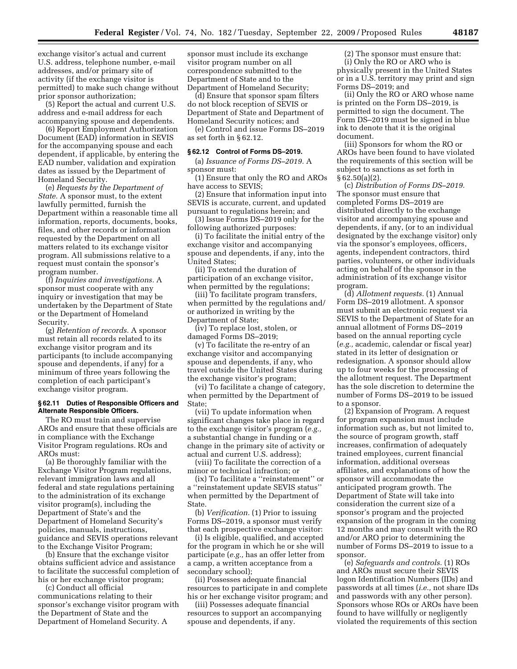exchange visitor's actual and current U.S. address, telephone number, e-mail addresses, and/or primary site of activity (if the exchange visitor is permitted) to make such change without prior sponsor authorization;

(5) Report the actual and current U.S. address and e-mail address for each accompanying spouse and dependents.

(6) Report Employment Authorization Document (EAD) information in SEVIS for the accompanying spouse and each dependent, if applicable, by entering the EAD number, validation and expiration dates as issued by the Department of Homeland Security.

(e) *Requests by the Department of State.* A sponsor must, to the extent lawfully permitted, furnish the Department within a reasonable time all information, reports, documents, books, files, and other records or information requested by the Department on all matters related to its exchange visitor program. All submissions relative to a request must contain the sponsor's program number.

(f) *Inquiries and investigations.* A sponsor must cooperate with any inquiry or investigation that may be undertaken by the Department of State or the Department of Homeland Security.

(g) *Retention of records.* A sponsor must retain all records related to its exchange visitor program and its participants (to include accompanying spouse and dependents, if any) for a minimum of three years following the completion of each participant's exchange visitor program.

#### **§ 62.11 Duties of Responsible Officers and Alternate Responsible Officers.**

The RO must train and supervise AROs and ensure that these officials are in compliance with the Exchange Visitor Program regulations. ROs and AROs must:

(a) Be thoroughly familiar with the Exchange Visitor Program regulations, relevant immigration laws and all federal and state regulations pertaining to the administration of its exchange visitor program(s), including the Department of State's and the Department of Homeland Security's policies, manuals, instructions, guidance and SEVIS operations relevant to the Exchange Visitor Program;

(b) Ensure that the exchange visitor obtains sufficient advice and assistance to facilitate the successful completion of his or her exchange visitor program;

(c) Conduct all official communications relating to their sponsor's exchange visitor program with the Department of State and the Department of Homeland Security. A

sponsor must include its exchange visitor program number on all correspondence submitted to the Department of State and to the Department of Homeland Security;

(d) Ensure that sponsor spam filters do not block reception of SEVIS or Department of State and Department of Homeland Security notices; and

(e) Control and issue Forms DS–2019 as set forth in § 62.12.

#### **§ 62.12 Control of Forms DS–2019.**

(a) *Issuance of Forms DS–2019.* A sponsor must:

(1) Ensure that only the RO and AROs have access to SEVIS;

(2) Ensure that information input into SEVIS is accurate, current, and updated pursuant to regulations herein; and

(3) Issue Forms DS–2019 only for the following authorized purposes:

(i) To facilitate the initial entry of the exchange visitor and accompanying spouse and dependents, if any, into the United States;

(ii) To extend the duration of participation of an exchange visitor, when permitted by the regulations;

(iii) To facilitate program transfers, when permitted by the regulations and/ or authorized in writing by the Department of State;

(iv) To replace lost, stolen, or damaged Forms DS–2019;

(v) To facilitate the re-entry of an exchange visitor and accompanying spouse and dependents, if any, who travel outside the United States during the exchange visitor's program;

(vi) To facilitate a change of category, when permitted by the Department of State;

(vii) To update information when significant changes take place in regard to the exchange visitor's program (*e.g.,*  a substantial change in funding or a change in the primary site of activity or actual and current U.S. address);

(viii) To facilitate the correction of a minor or technical infraction; or

(ix) To facilitate a ''reinstatement'' or a ''reinstatement update SEVIS status'' when permitted by the Department of State.

(b) *Verification.* (1) Prior to issuing Forms DS–2019, a sponsor must verify that each prospective exchange visitor:

(i) Is eligible, qualified, and accepted for the program in which he or she will participate (*e.g.,* has an offer letter from a camp, a written acceptance from a secondary school);

(ii) Possesses adequate financial resources to participate in and complete his or her exchange visitor program; and

(iii) Possesses adequate financial resources to support an accompanying spouse and dependents, if any.

(2) The sponsor must ensure that: (i) Only the RO or ARO who is physically present in the United States or in a U.S. territory may print and sign Forms DS–2019; and

(ii) Only the RO or ARO whose name is printed on the Form DS–2019, is permitted to sign the document. The Form DS–2019 must be signed in blue ink to denote that it is the original document.

(iii) Sponsors for whom the RO or AROs have been found to have violated the requirements of this section will be subject to sanctions as set forth in  $§ 62.50(a)(2).$ 

(c) *Distribution of Forms DS–2019.*  The sponsor must ensure that completed Forms DS–2019 are distributed directly to the exchange visitor and accompanying spouse and dependents, if any, (or to an individual designated by the exchange visitor) only via the sponsor's employees, officers, agents, independent contractors, third parties, volunteers, or other individuals acting on behalf of the sponsor in the administration of its exchange visitor program.

(d) *Allotment requests.* (1) Annual Form DS–2019 allotment. A sponsor must submit an electronic request via SEVIS to the Department of State for an annual allotment of Forms DS–2019 based on the annual reporting cycle (*e.g.,* academic, calendar or fiscal year) stated in its letter of designation or redesignation. A sponsor should allow up to four weeks for the processing of the allotment request. The Department has the sole discretion to determine the number of Forms DS–2019 to be issued to a sponsor.

(2) Expansion of Program. A request for program expansion must include information such as, but not limited to, the source of program growth, staff increases, confirmation of adequately trained employees, current financial information, additional overseas affiliates, and explanations of how the sponsor will accommodate the anticipated program growth. The Department of State will take into consideration the current size of a sponsor's program and the projected expansion of the program in the coming 12 months and may consult with the RO and/or ARO prior to determining the number of Forms DS–2019 to issue to a sponsor.

(e) *Safeguards and controls.* (1) ROs and AROs must secure their SEVIS logon Identification Numbers (IDs) and passwords at all times (*i.e.,* not share IDs and passwords with any other person). Sponsors whose ROs or AROs have been found to have willfully or negligently violated the requirements of this section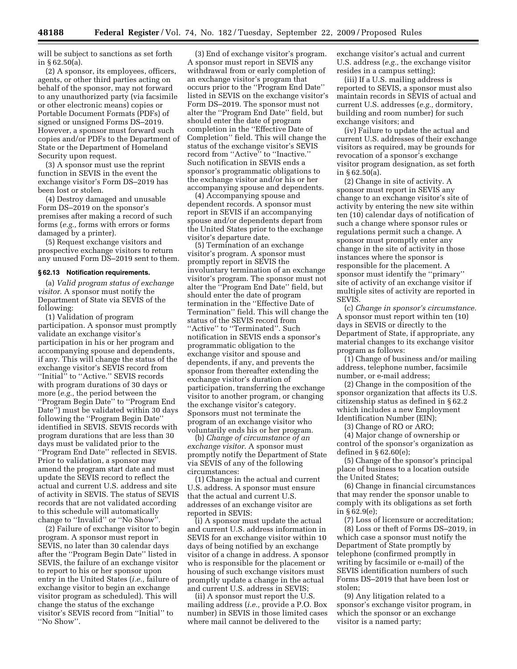will be subject to sanctions as set forth in § 62.50(a).

(2) A sponsor, its employees, officers, agents, or other third parties acting on behalf of the sponsor, may not forward to any unauthorized party (via facsimile or other electronic means) copies or Portable Document Formats (PDFs) of signed or unsigned Forms DS–2019. However, a sponsor must forward such copies and/or PDFs to the Department of State or the Department of Homeland Security upon request.

(3) A sponsor must use the reprint function in SEVIS in the event the exchange visitor's Form DS–2019 has been lost or stolen.

(4) Destroy damaged and unusable Form DS–2019 on the sponsor's premises after making a record of such forms (*e.g.,* forms with errors or forms damaged by a printer).

(5) Request exchange visitors and prospective exchange visitors to return any unused Form DS–2019 sent to them.

#### **§ 62.13 Notification requirements.**

(a) *Valid program status of exchange visitor.* A sponsor must notify the Department of State via SEVIS of the following:

(1) Validation of program participation. A sponsor must promptly validate an exchange visitor's participation in his or her program and accompanying spouse and dependents, if any. This will change the status of the exchange visitor's SEVIS record from ''Initial'' to ''Active.'' SEVIS records with program durations of 30 days or more (*e.g.,* the period between the ''Program Begin Date'' to ''Program End Date'') must be validated within 30 days following the ''Program Begin Date'' identified in SEVIS. SEVIS records with program durations that are less than 30 days must be validated prior to the ''Program End Date'' reflected in SEVIS. Prior to validation, a sponsor may amend the program start date and must update the SEVIS record to reflect the actual and current U.S. address and site of activity in SEVIS. The status of SEVIS records that are not validated according to this schedule will automatically change to ''Invalid'' or ''No Show''.

(2) Failure of exchange visitor to begin program. A sponsor must report in SEVIS, no later than 30 calendar days after the ''Program Begin Date'' listed in SEVIS, the failure of an exchange visitor to report to his or her sponsor upon entry in the United States (*i.e.,* failure of exchange visitor to begin an exchange visitor program as scheduled). This will change the status of the exchange visitor's SEVIS record from ''Initial'' to ''No Show''.

(3) End of exchange visitor's program. A sponsor must report in SEVIS any withdrawal from or early completion of an exchange visitor's program that occurs prior to the ''Program End Date'' listed in SEVIS on the exchange visitor's Form DS–2019. The sponsor must not alter the ''Program End Date'' field, but should enter the date of program completion in the ''Effective Date of Completion'' field. This will change the status of the exchange visitor's SEVIS record from ''Active'' to ''Inactive.'' Such notification in SEVIS ends a sponsor's programmatic obligations to the exchange visitor and/or his or her accompanying spouse and dependents.

(4) Accompanying spouse and dependent records. A sponsor must report in SEVIS if an accompanying spouse and/or dependents depart from the United States prior to the exchange visitor's departure date.

(5) Termination of an exchange visitor's program. A sponsor must promptly report in SEVIS the involuntary termination of an exchange visitor's program. The sponsor must not alter the ''Program End Date'' field, but should enter the date of program termination in the ''Effective Date of Termination'' field. This will change the status of the SEVIS record from "Active" to "Terminated". Such notification in SEVIS ends a sponsor's programmatic obligation to the exchange visitor and spouse and dependents, if any, and prevents the sponsor from thereafter extending the exchange visitor's duration of participation, transferring the exchange visitor to another program, or changing the exchange visitor's category. Sponsors must not terminate the program of an exchange visitor who voluntarily ends his or her program.

(b) *Change of circumstance of an exchange visitor.* A sponsor must promptly notify the Department of State via SEVIS of any of the following circumstances:

(1) Change in the actual and current U.S. address. A sponsor must ensure that the actual and current U.S. addresses of an exchange visitor are reported in SEVIS:

(i) A sponsor must update the actual and current U.S. address information in SEVIS for an exchange visitor within 10 days of being notified by an exchange visitor of a change in address. A sponsor who is responsible for the placement or housing of such exchange visitors must promptly update a change in the actual and current U.S. address in SEVIS;

(ii) A sponsor must report the U.S. mailing address (*i.e.,* provide a P.O. Box number) in SEVIS in those limited cases where mail cannot be delivered to the

exchange visitor's actual and current U.S. address (*e.g.,* the exchange visitor resides in a campus setting);

(iii) If a U.S. mailing address is reported to SEVIS, a sponsor must also maintain records in SEVIS of actual and current U.S. addresses (*e.g.,* dormitory, building and room number) for such exchange visitors; and

(iv) Failure to update the actual and current U.S. addresses of their exchange visitors as required, may be grounds for revocation of a sponsor's exchange visitor program designation, as set forth in § 62.50(a).

(2) Change in site of activity. A sponsor must report in SEVIS any change to an exchange visitor's site of activity by entering the new site within ten (10) calendar days of notification of such a change where sponsor rules or regulations permit such a change. A sponsor must promptly enter any change in the site of activity in those instances where the sponsor is responsible for the placement. A sponsor must identify the ''primary'' site of activity of an exchange visitor if multiple sites of activity are reported in SEVIS.

(c) *Change in sponsor's circumstance.*  A sponsor must report within ten (10) days in SEVIS or directly to the Department of State, if appropriate, any material changes to its exchange visitor program as follows:

(1) Change of business and/or mailing address, telephone number, facsimile number, or e-mail address;

(2) Change in the composition of the sponsor organization that affects its U.S. citizenship status as defined in § 62.2 which includes a new Employment Identification Number (EIN);

(3) Change of RO or ARO;

(4) Major change of ownership or control of the sponsor's organization as defined in § 62.60(e);

(5) Change of the sponsor's principal place of business to a location outside the United States;

(6) Change in financial circumstances that may render the sponsor unable to comply with its obligations as set forth in § 62.9(e);

(7) Loss of licensure or accreditation; (8) Loss or theft of Forms DS–2019, in which case a sponsor must notify the Department of State promptly by telephone (confirmed promptly in writing by facsimile or e-mail) of the SEVIS identification numbers of such Forms DS–2019 that have been lost or stolen;

(9) Any litigation related to a sponsor's exchange visitor program, in which the sponsor or an exchange visitor is a named party;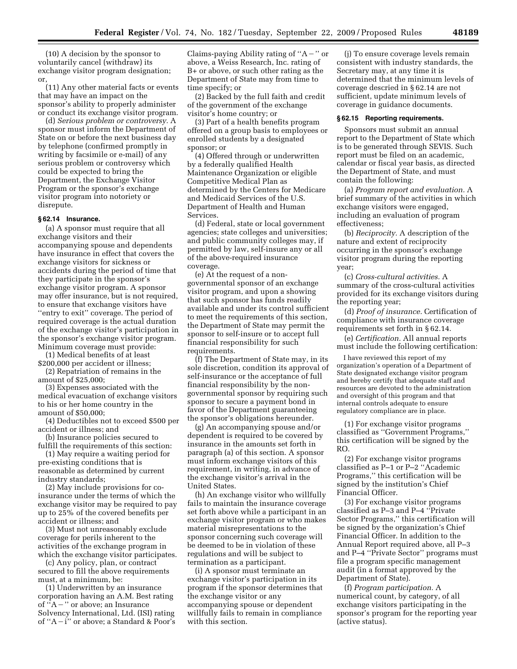(10) A decision by the sponsor to voluntarily cancel (withdraw) its exchange visitor program designation; or,

(11) Any other material facts or events that may have an impact on the sponsor's ability to properly administer or conduct its exchange visitor program.

(d) *Serious problem or controversy.* A sponsor must inform the Department of State on or before the next business day by telephone (confirmed promptly in writing by facsimile or e-mail) of any serious problem or controversy which could be expected to bring the Department, the Exchange Visitor Program or the sponsor's exchange visitor program into notoriety or disrepute.

## **§ 62.14 Insurance.**

(a) A sponsor must require that all exchange visitors and their accompanying spouse and dependents have insurance in effect that covers the exchange visitors for sickness or accidents during the period of time that they participate in the sponsor's exchange visitor program. A sponsor may offer insurance, but is not required, to ensure that exchange visitors have ''entry to exit'' coverage. The period of required coverage is the actual duration of the exchange visitor's participation in the sponsor's exchange visitor program. Minimum coverage must provide:

(1) Medical benefits of at least \$200,000 per accident or illness;

(2) Repatriation of remains in the amount of \$25,000;

(3) Expenses associated with the medical evacuation of exchange visitors to his or her home country in the amount of \$50,000;

(4) Deductibles not to exceed \$500 per accident or illness; and

(b) Insurance policies secured to fulfill the requirements of this section:

(1) May require a waiting period for pre-existing conditions that is reasonable as determined by current industry standards;

(2) May include provisions for coinsurance under the terms of which the exchange visitor may be required to pay up to 25% of the covered benefits per accident or illness; and

(3) Must not unreasonably exclude coverage for perils inherent to the activities of the exchange program in which the exchange visitor participates.

(c) Any policy, plan, or contract secured to fill the above requirements must, at a minimum, be:

(1) Underwritten by an insurance corporation having an A.M. Best rating of  ${}^{i}$ A – " or above; an Insurance Solvency International, Ltd. (ISI) rating of " $A - i$ " or above; a Standard & Poor's

Claims-paying Ability rating of " $A -$ " or above, a Weiss Research, Inc. rating of B+ or above, or such other rating as the Department of State may from time to time specify; or

(2) Backed by the full faith and credit of the government of the exchange visitor's home country; or

(3) Part of a health benefits program offered on a group basis to employees or enrolled students by a designated sponsor; or

(4) Offered through or underwritten by a federally qualified Health Maintenance Organization or eligible Competitive Medical Plan as determined by the Centers for Medicare and Medicaid Services of the U.S. Department of Health and Human Services.

(d) Federal, state or local government agencies; state colleges and universities; and public community colleges may, if permitted by law, self-insure any or all of the above-required insurance coverage.

(e) At the request of a nongovernmental sponsor of an exchange visitor program, and upon a showing that such sponsor has funds readily available and under its control sufficient to meet the requirements of this section, the Department of State may permit the sponsor to self-insure or to accept full financial responsibility for such requirements.

(f) The Department of State may, in its sole discretion, condition its approval of self-insurance or the acceptance of full financial responsibility by the nongovernmental sponsor by requiring such sponsor to secure a payment bond in favor of the Department guaranteeing the sponsor's obligations hereunder.

(g) An accompanying spouse and/or dependent is required to be covered by insurance in the amounts set forth in paragraph (a) of this section. A sponsor must inform exchange visitors of this requirement, in writing, in advance of the exchange visitor's arrival in the United States.

(h) An exchange visitor who willfully fails to maintain the insurance coverage set forth above while a participant in an exchange visitor program or who makes material misrepresentations to the sponsor concerning such coverage will be deemed to be in violation of these regulations and will be subject to termination as a participant.

(i) A sponsor must terminate an exchange visitor's participation in its program if the sponsor determines that the exchange visitor or any accompanying spouse or dependent willfully fails to remain in compliance with this section.

(j) To ensure coverage levels remain consistent with industry standards, the Secretary may, at any time it is determined that the minimum levels of coverage descried in § 62.14 are not sufficient, update minimum levels of coverage in guidance documents.

#### **§ 62.15 Reporting requirements.**

Sponsors must submit an annual report to the Department of State which is to be generated through SEVIS. Such report must be filed on an academic, calendar or fiscal year basis, as directed the Department of State, and must contain the following:

(a) *Program report and evaluation.* A brief summary of the activities in which exchange visitors were engaged, including an evaluation of program effectiveness;

(b) *Reciprocity.* A description of the nature and extent of reciprocity occurring in the sponsor's exchange visitor program during the reporting year;

(c) *Cross-cultural activities.* A summary of the cross-cultural activities provided for its exchange visitors during the reporting year;

(d) *Proof of insurance.* Certification of compliance with insurance coverage requirements set forth in § 62.14.

(e) *Certification.* All annual reports must include the following certification:

I have reviewed this report of my organization's operation of a Department of State designated exchange visitor program and hereby certify that adequate staff and resources are devoted to the administration and oversight of this program and that internal controls adequate to ensure regulatory compliance are in place.

(1) For exchange visitor programs classified as ''Government Programs,'' this certification will be signed by the RO.

(2) For exchange visitor programs classified as P–1 or P–2 ''Academic Programs,'' this certification will be signed by the institution's Chief Financial Officer.

(3) For exchange visitor programs classified as P–3 and P–4 ''Private Sector Programs,'' this certification will be signed by the organization's Chief Financial Officer. In addition to the Annual Report required above, all P–3 and P–4 ''Private Sector'' programs must file a program specific management audit (in a format approved by the Department of State).

(f) *Program participation.* A numerical count, by category, of all exchange visitors participating in the sponsor's program for the reporting year (active status).